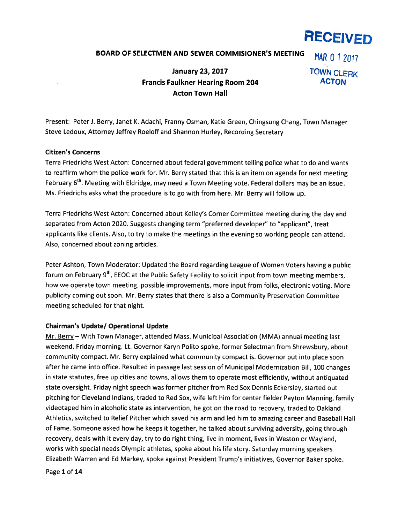# RECEIVED

# BOARD OF SELECTMEN AND SEWER COMMISIONER'S MEETING MAR 0 1 2017

# January 23, 2017 **TOWN CLERK** Francis Faulkner Hearing Room 204 **ACTON** Acton Town Hall

Present: Peter J. Berry, Janet K. Adachi, Franny Osman, Katie Green, Chingsung Chang, Town Manager Steve Ledoux, Attorney Jeffrey Roeloff and Shannon Hurley, Recording Secretary

### Citizen's Concerns

Terra Friedrichs West Acton: Concerned about federal governmen<sup>t</sup> telling police what to do and wants to reaffirm whom the police work for. Mr. Berry stated that this is an item on agenda for next meeting February 6<sup>th</sup>. Meeting with Eldridge, may need a Town Meeting vote. Federal dollars may be an issue. Ms. Friedrichs asks what the procedure is to go with from here. Mr. Berry will follow up.

Terra Friedrichs West Acton: Concerned about Kelley's Corner Committee meeting during the day and separated from Acton 2020. Suggests changing term "preferred developer" to "applicant", treat applicants like clients. Also, to try to make the meetings in the evening so working people can attend. Also, concerned about zoning articles.

Peter Ashton, Town Moderator: Updated the Board regarding League of Women Voters having <sup>a</sup> public forum on February 9<sup>th</sup>, EEOC at the Public Safety Facility to solicit input from town meeting members, how we operate town meeting, possible improvements, more input from folks, electronic voting. More publicity coming out soon. Mr. Berry states that there is also <sup>a</sup> Community Preservation Committee meeting scheduled for that night.

#### Chairman's Update/ Operational Update

Mr. Berry — With Town Manager, attended Mass. Municipal Association (MMA) annual meeting last weekend. Friday morning. Lt. Governor Karyn Polito spoke, former Selectman from Shrewsbury, about community compact. Mr. Berry explained what community compac<sup>t</sup> is. Governor pu<sup>t</sup> into <sup>p</sup>lace soon after he came into office. Resulted in passage last session of Municipal Modernization Bill, 100 changes in state statutes, free up cities and towns, allows them to operate most efficiently, without antiquated state oversight. Friday night speech was former pitcher from Red Sox Dennis Eckersley, started out <sup>p</sup>itching for Cleveland Indians, traded to Red Sox, wife left him for center fielder Payton Manning, family videotaped him in alcoholic state as intervention, he go<sup>t</sup> on the road to recovery, traded to Oakland Athletics, switched to Relief Pitcher which saved his arm and led him to amazing career and Baseball Hall of Fame. Someone asked how he keeps it together, he talked about surviving adversity, going through recovery, deals with it every day, try to do right thing, live in moment, lives in Weston or Wayland, works with special needs Olympic athletes, spoke about his life story. Saturday morning speakers Elizabeth Warren and Ed Markey, spoke against President Trump's initiatives, Governor Baker spoke.

Page 1 of 14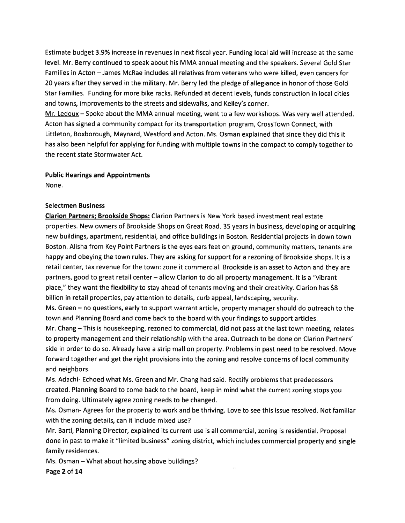Estimate budget 3.9% increase in revenues in next fiscal year. Funding local aid will increase at the same level. Mr. Berry continued to speak about his MMA annual meeting and the speakers. Several Gold Star Families in Acton — James McRae includes all relatives from veterans who were killed, even cancers for 20 years after they served in the military. Mr. Berry led the pledge of allegiance in honor of those Gold Stat Families. Funding for more bike racks. Refunded at decent levels, funds construction in local cities and towns, improvements to the streets and sidewalks, and Kelley's corner.

Mr. Ledoux — Spoke about the MMA annual meeting, went to <sup>a</sup> few workshops. Was very well attended. Acton has signed <sup>a</sup> community compac<sup>t</sup> for its transportation program, CrossTown Connect, with Littleton, Boxborough, Maynard, Westford and Acton. Ms. Osman explained that since they did this it has also been helpful for applying for funding with multiple towns in the compac<sup>t</sup> to comply together to the recent state Stormwater Act.

Public Hearings and Appointments

None.

# Selectmen Business

Clarion Partners; Brookside Shops: Clarion Partners is New York based investment real estate properties. New owners of Brookside Shops on Great Road. 35 years in business, developing or acquiring new buildings, apartment, residential, and office buildings in Boston. Residential projects in down town Boston. Alisha from Key Point Partners is the eyes ears feet on ground, community matters, tenants are happy and obeying the town rules. They are asking for suppor<sup>t</sup> for <sup>a</sup> rezoning of Brookside shops. It is <sup>a</sup> retail center, tax revenue for the town: zone it commercial. Brookside is an asset to Acton and they are partners, good to grea<sup>t</sup> retail center — allow Clarion to do all property management. It is <sup>a</sup> "vibrant place," they want the flexibility to stay ahead of tenants moving and their creativity. Clarion has \$8 billion in retail properties, pay attention to details, curb appeal, landscaping, security.

Ms. Green — no questions, early to suppor<sup>t</sup> warrant article, property manager should do outreach to the town and Planning Board and come back to the board with your findings to suppor<sup>t</sup> articles.

Mr. Chang —This is housekeeping, rezoned to commercial, did not pass at the last town meeting, relates to property managemen<sup>t</sup> and their relationship with the area. Outreach to be done on Clarion Partners' side in order to do so. Already have <sup>a</sup> strip mall on property. Problems in pas<sup>t</sup> need to be resolved. Move forward together and ge<sup>t</sup> the right provisions into the zoning and resolve concerns of local community and neighbors.

Ms. Adachi- Echoed what Ms. Green and Mr. Chang had said. Rectify problems that predecessors created. Planning Board to come back to the board, keep in mind what the current zoning stops you from doing. Ultimately agree zoning needs to be changed.

Ms. Osman- Agrees for the property to work and be thriving. Love to see this issue resolved. Not familiar with the zoning details, can it include mixed use?

Mr. Bartl, Planning Director, explained its current use is all commercial, zoning is residential. Proposal done in pas<sup>t</sup> to make it "limited business" zoning district, which includes commercial property and single family residences.

Ms. Osman —What about housing above buildings? Page 2 of 14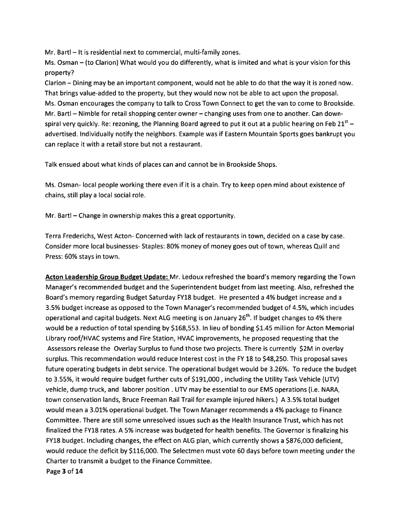Mr. Barti — It is residential next to commercial, multi-family zones.

Ms. Osman — (to Clarion) What would you do differently, what is limited and what is your vision for this property?

Clarion — Dining may be an important component, would not be able to do that the way it is zoned now. That brings value-added to the property, but they would now not be able to act upon the proposal. Ms. Osman encourages the company to talk to Cross Town Connect to ge<sup>t</sup> the van to come to Brookside. Mr. Barti — Nimble for retail shopping center owner — changing uses from one to another. Can downspiral very quickly. Re: rezoning, the Planning Board agreed to put it out at a public hearing on Feb 21 $^{st}$  – advertised. Individually notify the neighbors. Example was if Eastern Mountain Sports goes bankrupt you can replace it with <sup>a</sup> retail store but not <sup>a</sup> restaurant.

Talk ensued about what kinds of places can and cannot be in Brookside Shops.

Ms. Osman- local people working there even if it is <sup>a</sup> chain. Try to keep open mind about existence of chains, still play <sup>a</sup> local social role.

Mr. Bartl — Change in ownership makes this <sup>a</sup> grea<sup>t</sup> opportunity.

Terra Frederichs, West Acton- Concerned with lack of restaurants in town, decided on <sup>a</sup> case by case. Consider more local businesses- Staples: 80% money of money goes out of town, whereas Quill and Press: 60% stays in town.

Acton Leadership Group Budget Update: Mr. Ledoux refreshed the board's memory regarding the Town Manager's recommended budget and the Superintendent budget from last meeting. Also, refreshed the Board's memory regarding Budget Saturday FY18 budget. He presented <sup>a</sup> 4% budget increase and <sup>a</sup> 3.5% budget increase as opposed to the Town Manager's recommended budget of 4.5%, which includes operational and capital budgets. Next ALG meeting is on January 26<sup>th</sup>. If budget changes to 4% there would be <sup>a</sup> reduction of total spending by \$168,553. In lieu of bonding \$1.45 million for Acton Memorial Library roof/HVAC systems and Fire Station, HVAC improvements, he proposed requesting that the Assessors release the Overlay Surplus to fund those two projects. There is currently \$2M in overlay surplus. This recommendation would reduce Interest cost in the FY 18 to \$48,250. This proposal saves future operating budgets in debt service. The operational budget would be 3.26%. To reduce the budget to 3.55%, it would require budget further cuts of \$191,000, including the Utility Task Vehicle (UTV) vehicle, dump truck, and laborer position . UTV may be essential to our EMS operations (i.e. NARA, town conservation lands, Bruce Freeman Rail Trail for example injured hikers.) A 3.5% total budget would mean <sup>a</sup> 3.01% operational budget. The Town Manager recommends <sup>a</sup> 4% package to Finance Committee. There are still some unresolved issues such as the Health Insurance Trust, which has not finalized the FY18 rates. A 5% increase was budgeted for health benefits. The Governor is finalizing his FY18 budget. Including changes, the effect on ALG plan, which currently shows <sup>a</sup> \$876,000 deficient, would reduce the deficit by \$116,000. The Selectmen must vote 60 days before town meeting under the Charter to transmit <sup>a</sup> budget to the Finance Committee. Page 3 of 14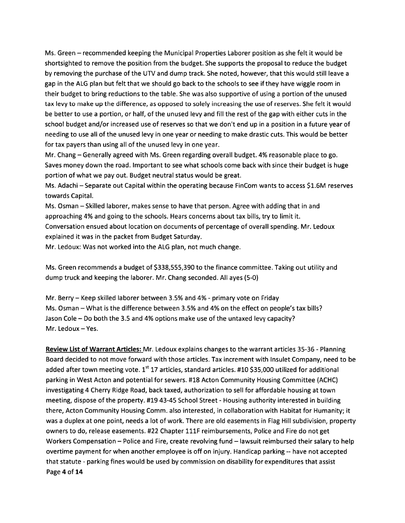Ms. Green — recommended keeping the Municipal Properties Laborer position as she felt it would be shortsighted to remove the position from the budget. She supports the proposal to reduce the budget by removing the purchase of the UTV and dump track. She noted, however, that this would still leave a gap in the ALG plan but felt that we should go back to the schools to see if they have wiggle room in their budget to bring reductions to the table. She was also supportive of using <sup>a</sup> portion of the unused tax levy to make up the difference, as opposed to solely increasing the use of reserves. She felt it would be better to use <sup>a</sup> portion, or half, of the unused levy and fill the rest of the gap with either cuts in the school budget and/or increased use of reserves so that we don't end up in <sup>a</sup> position in <sup>a</sup> future year of needing to use all of the unused levy in one year or needing to make drastic cuts. This would be better for tax payers than using all of the unused levy in one year.

Mr. Chang — Generally agreed with Ms. Green regarding overall budget. 4% reasonable place to go. Saves money down the road. Important to see what schools come back with since their budget is huge portion of what we pay out. Budget neutral status would be great.

Ms. Adachi — Separate out Capital within the operating because FinCom wants to access \$1.6M reserves towards Capital.

Ms. Osman —Skilled laborer, makes sense to have that person. Agree with adding that in and approaching 4% and going to the schools. Hears concerns about tax bills, try to limit it. Conversation ensued about location on documents of percentage of overall spending. Mr. Ledoux explained it was in the packet from Budget Saturday.

Mr. Ledoux: Was not worked into the ALG plan, not much change.

Ms. Green recommends <sup>a</sup> budget of \$338,555,390 to the finance committee. Taking out utility and dump truck and keeping the laborer. Mr. Chang seconded. All ayes (5-0)

Mr. Berry – Keep skilled laborer between 3.5% and 4% - primary vote on Friday Ms. Osman — What is the difference between 3.5% and 4% on the effect on people's tax bills? Jason Cole — Do both the 3.5 and 4% options make use of the untaxed levy capacity? Mr. Ledoux—Yes.

Review List of Warrant Articles: Mr. Ledoux explains changes to the warrant articles 35-36 -Planning Board decided to not move forward with those articles. Tax increment with Insulet Company, need to be added after town meeting vote.  $1^{st}$  17 articles, standard articles. #10 \$35,000 utilized for additional parking in West Acton and potential for sewers. #18 Acton Community Housing Committee (ACHC) investigating 4 Cherry Ridge Road, back taxed, authorization to sell for affordable housing at town meeting, dispose of the property. #19 43-45 School Street - Housing authority interested in building there, Acton Community Housing Comm. also interested, in collaboration with Habitat for Humanity; it was <sup>a</sup> duplex at one point, needs <sup>a</sup> lot of work. There are old easements in Flag Hill subdivision, property owners to do, release easements. #22 Chapter 111F reimbursements, Police and Fire do not ge<sup>t</sup> Workers Compensation — Police and Fire, create revolving fund — lawsuit reimbursed their salary to help overtime paymen<sup>t</sup> for when another employee is off on injury. Handicap parking -- have not accepted that statute -parking fines would be used by commission on disability for expenditures that assist Page 4 of 14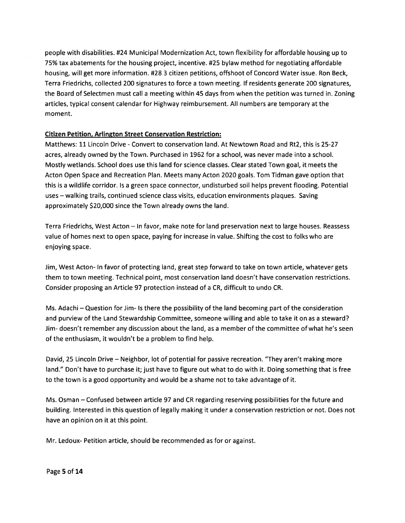people with disabilities. #24 Municipal Modernization Act, town flexibility for affordable housing up to 75% tax abatements for the housing project, incentive. #25 bylaw method for negotiating affordable housing, will ge<sup>t</sup> more information. #28 3 citizen petitions, offshoot of Concord Water issue. Ron Beck, Terra Friedrichs, collected 200 signatures to force <sup>a</sup> town meeting. If residents generate 200 signatures, the Board of Selectmen must call <sup>a</sup> meeting within 45 days from when the petition was turned in. Zoning articles, typical consent calendar for Highway reimbursement. All numbers are temporary at the moment.

# Citizen Petition, Arlington Street Conservation Restriction:

Matthews: 11 Lincoln Drive - Convert to conservation land. At Newtown Road and Rt2, this is 25-27 acres, already owned by the Town. Purchased in 1962 for <sup>a</sup> school, was never made into <sup>a</sup> school. Mostly wetlands. School does use this land for science classes. Clear stated Town goal, it meets the Acton Open Space and Recreation Plan. Meets many Acton 2020 goals. Tom Tidman gave option that this is <sup>a</sup> wildlife corridor. Is <sup>a</sup> green space connector, undisturbed soil helps preven<sup>t</sup> flooding. Potential uses — walking trails, continued science class visits, education environments plaques. Saving approximately \$20,000 since the Town already owns the land.

Terra Friedrichs, West Acton — In favor, make note for land preservation next to large houses. Reassess value of homes next to open space, paying for increase in value. Shifting the cost to folks who are enjoying space.

Jim, West Acton- In favor of protecting land, grea<sup>t</sup> step forward to take on town article, whatever gets them to town meeting. Technical point, most conservation land doesn't have conservation restrictions. Consider proposing an Article 97 protection instead of <sup>a</sup> CR, difficult to undo CR.

Ms. Adachi — Question for Jim- Is there the possibility of the land becoming par<sup>t</sup> of the consideration and purview of the Land Stewardship Committee, someone willing and able to take it on as <sup>a</sup> steward? Jim- doesn't remember any discussion about the land, as <sup>a</sup> member of the committee of what he's seen of the enthusiasm, it wouldn't be <sup>a</sup> problem to find help.

David, 25 Lincoln Drive — Neighbor, lot of potential for passive recreation. "They aren't making more land." Don't have to purchase it; just have to figure out what to do with it. Doing something that is free to the town is <sup>a</sup> good opportunity and would be <sup>a</sup> shame not to take advantage of it.

Ms. Osman — Confused between article 97 and CR regarding reserving possibilities for the future and building. Interested in this question of legally making it under <sup>a</sup> conservation restriction or not. Does not have an opinion on it at this point.

Mr. Ledoux- Petition article, should be recommended as for or against.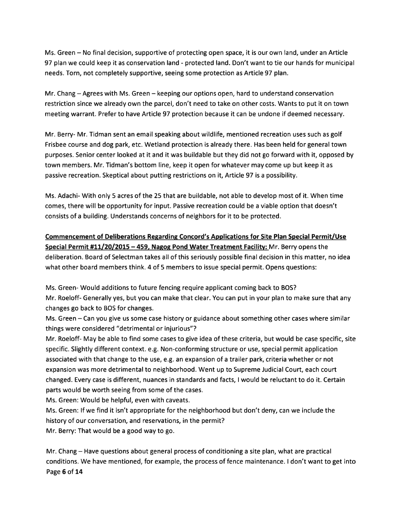Ms. Green — No final decision, supportive of protecting open space, it is our own land, under an Article 97 plan we could keep it as conservation land -protected land. Don't want to tie our hands for municipal needs. Torn, not completely supportive, seeing some protection as Article 97 plan.

Mr. Chang — Agrees with Ms. Green — keeping our options open, hard to understand conservation restriction since we already own the parcel, don't need to take on other costs. Wants to pu<sup>t</sup> it on town meeting warrant. Prefer to have Article 97 protection because it can be undone if deemed necessary.

Mr. Berry- Mr. Tidman sent an email speaking about wildlife, mentioned recreation uses such as golf Frisbee course and dog park, etc. Wetland protection is already there. Has been held for general town purposes. Senior center looked at it and it was buildable but they did not go forward with it, opposed by town members. Mr. Tidman's bottom line, keep it open for whatever may come up but keep it as passive recreation. Skeptical about putting restrictions on it, Article 97 is <sup>a</sup> possibility.

Ms. Adachi- With only 5 acres of the 25 that are buildable, not able to develop most of it. When time comes, there will be opportunity for input. Passive recreation could be <sup>a</sup> viable option that doesn't consists of <sup>a</sup> building. Understands concerns of neighbors for it to be protected.

Commencement of Deliberations Regarding Concord's Applications for Site Plan Special Permit/Use Special Permit #11/20/2015 - 459, Nagog Pond Water Treatment Facility: Mr. Berry opens the deliberation. Board of Selectman takes all of this seriously possible final decision in this matter, no idea what other board members think. 4 of 5 members to issue special permit. Opens questions:

Ms. Green- Would additions to future fencing require applicant coming back to BOS? Mr. Roeloff- Generally yes, but you can make that clear. You can pu<sup>t</sup> in your plan to make sure that any changes go back to BOS for changes.

Ms. Green — Can you give us some case history or guidance about something other cases where similar things were considered "detrimental or injurious"?

Mr. Roeloff- May be able to find some cases to give idea of these criteria, but would be case specific, site specific. Slightly different context. e.g. Non-conforming structure or use, special permit application associated with that change to the use, e.g. an expansion of <sup>a</sup> trailer park, criteria whether or not expansion was more detrimental to neighborhood. Went up to Supreme Judicial Court, each court changed. Every case is different, nuances in standards and facts, I would be reluctant to do it. Certain parts would be worth seeing from some of the cases.

Ms. Green: Would be helpful, even with caveats.

Ms. Green: If we find it isn't appropriate for the neighborhood but don't deny, can we include the history of our conversation, and reservations, in the permit?

Mr. Berry: That would be <sup>a</sup> good way to go.

Mr. Chang — Have questions about general process of conditioning <sup>a</sup> site plan, what are practical conditions. We have mentioned, for example, the process of fence maintenance. I don't want to get into Page 6 of 14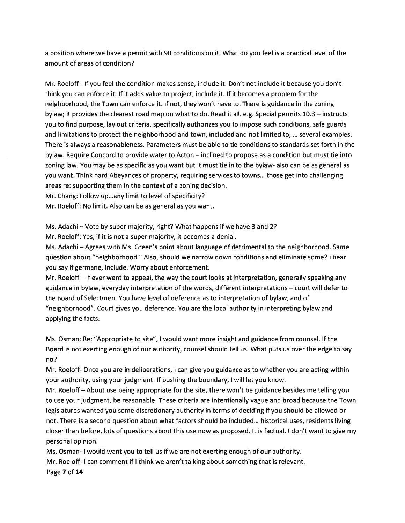<sup>a</sup> position where we have <sup>a</sup> permit with 90 conditions on it. What do you feel is <sup>a</sup> practical level of the amount of areas of condition?

Mr. Roeloff - If you feel the condition makes sense, include it. Don't not include it because you don't think you can enforce it. If it adds value to project, include it. If it becomes a problem for the neighborhood, the Town can enforce it. If not, they won't have to. There is guidance in the zoning bylaw; it provides the clearest road map on what to do. Read it all. e.g. Special permits 10.3 — instructs you to find purpose, lay out criteria, specifically authorizes you to impose such conditions, safe guards and limitations to protect the neighborhood and town, included and not limited to, ... several examples. There is always <sup>a</sup> reasonableness. Parameters must be able to tie conditions to standards set forth in the bylaw. Require Concord to provide water to Acton — inclined to propose as <sup>a</sup> condition but must tie into zoning law. You may be as specific as you want but it must tie in to the bylaw- also can be as general as you want. Think hard Abeyances of property, requiting services to towns... those ge<sup>t</sup> into challenging areas re: supporting them in the context of <sup>a</sup> zoning decision.

Mr. Chang: Follow up...any limit to level of specificity?

Mr. Roeloff: No limit. Also can be as general as you want.

Ms. Adachi — Vote by super majority, right? What happens if we have 3 and 2?

Mr. Roeloff: Yes, if it is not a super majority, it becomes a denial.

Ms. Adachi —Agrees with Ms. Green's point about language of detrimental to the neighborhood. Same question about "neighborhood." Also, should we narrow down conditions and eliminate some? I hear you say if germane, include. Worry about enforcement.

Mr. Roeloff— If ever went to appeal, the way the court looks at interpretation, generally speaking any guidance in bylaw, everyday interpretation of the words, different interpretations — court will defer to the Board of Selectmen. You have level of deference as to interpretation of bylaw, and of "neighborhood". Court gives you deference. You are the local authority in interpreting bylaw and applying the facts.

Ms. Osman: Re: "Appropriate to site", I would want more insight and guidance from counsel. If the Board is not exerting enough of our authority, counsel should tell us. What puts us over the edge to say no?

Mr. Roeloff- Once you are in deliberations, I can give you guidance as to whether you are acting within your authority, using your judgment. If pushing the boundary, I will let you know.

Mr. Roelofi—About use being appropriate for the site, there won't be guidance besides me telling you to use your judgment, be reasonable. These criteria are intentionally vague and broad because the Town legislatures wanted you some discretionary authority in terms of deciding if you should be allowed or not. There is <sup>a</sup> second question about what factors should be included.., historical uses, residents living closer than before, lots of questions about this use now as proposed. It is factual. I don't want to give my personal opinion.

Ms. Osman- I would want you to tell us if we are not exerting enough of our authority. Mr. Roeloff- I can comment if I think we aren't talking about something that is relevant. Page 7 of 14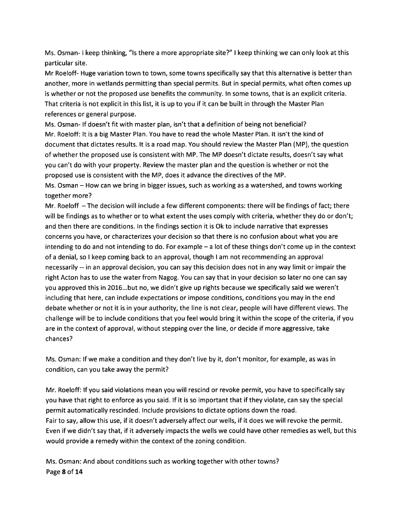Ms. Osman- I keep thinking, "Is there <sup>a</sup> more appropriate site?" I keep thinking we can only look at this particular site.

Mr Roeloff- Huge variation town to town, some towns specifically say that this alternative is better than another, more in wetlands permitting than special permits. But in special permits, what often comes up is whether or not the proposed use benefits the community. In some towns, that is an explicit criteria. That criteria is not explicit in this list, it is up to you if it can be built in through the Master Plan references or general purpose.

Ms. Osman- If doesn't fit with master plan, isn't that <sup>a</sup> definition of being not beneficial? Mr. Roeloff: It is <sup>a</sup> big Master Plan. You have to read the whole Master Plan. It isn't the kind of document that dictates results. It is <sup>a</sup> road map. You should review the Master Plan (MP), the question of whether the proposed use is consistent with MP. The MP doesn't dictate results, doesn't say what you can't do with your property. Review the master plan and the question is whether or not the proposed use is consistent with the MP, does it advance the directives of the MP.

Ms. Osman — How can we bring in bigger issues, such as working as <sup>a</sup> watershed, and towns working together more?

Mr. Roeloff —The decision will include <sup>a</sup> few different components: there will be findings of fact; there will be findings as to whether or to what extent the uses comply with criteria, whether they do or don't; and then there are conditions. In the findings section it is Ok to include narrative that expresses concerns you have, or characterizes your decision so that there is no confusion about what you are intending to do and not intending to do. For example — <sup>a</sup> lot of these things don't come up in the context of <sup>a</sup> denial, so I keep coming back to an approval, though I am not recommending an approval necessarily -- in an approval decision, you can say this decision does not in any way limit or impair the right Acton has to use the water from Nagog. You can say that in your decision so later no one can say you approved this in 2016...but no, we didn't give up rights because we specifically said we weren't including that here, can include expectations or impose conditions, conditions you may in the end debate whether or not it is in your authority, the line is not clear, people will have different views. The challenge will be to include conditions that you feel would bring it within the scope of the criteria, if you are in the context of approval, without stepping over the line, or decide if more aggressive, take chances?

Ms. Osman: If we make <sup>a</sup> condition and they don't live by it, don't monitor, for example, as was in condition, can you take away the permit?

Mr. Roeloff: If you said violations mean you will rescind or revoke permit, you have to specifically say you have that right to enforce as you said. If it is so important that if they violate, can say the special permit automatically rescinded. Include provisions to dictate options down the road. Fair to say, allow this use, if it doesn't adversely affect our wells, if it does we will revoke the permit. Even if we didn't say that, if it adversely impacts the wells we could have other remedies as well, but this would provide <sup>a</sup> remedy within the context of the zoning condition.

Ms. Osman: And about conditions such as working together with other towns? Page 8 of 14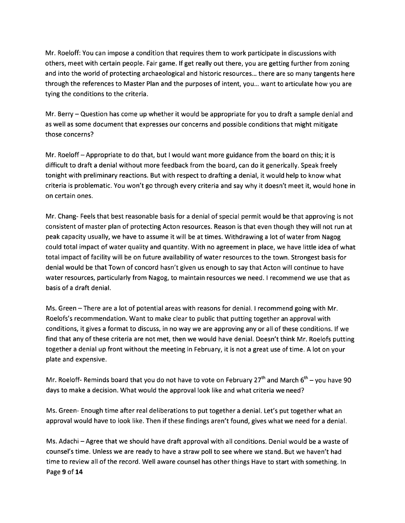Mr. Roeloff: You can impose <sup>a</sup> condition that requires them to work participate in discussions with others, meet with certain people. Fair game. If ge<sup>t</sup> really out there, you are getting further from zoning and into the world of protecting archaeological and historic resources... there are so many tangents here through the references to Master Plan and the purposes of intent, you... want to articulate how you are tying the conditions to the criteria.

Mr. Berry — Question has come up whether it would be appropriate for you to draft <sup>a</sup> sample denial and as well as some document that expresses our concerns and possible conditions that might mitigate those concerns?

Mr. Roeloff—Appropriate to do that, but <sup>I</sup> would want more guidance from the board on this; it is difficult to draft <sup>a</sup> denial without more feedback from the board, can do it generically. Speak freely tonight with preliminary reactions. But with respec<sup>t</sup> to drafting <sup>a</sup> denial, it would help to know what criteria is problematic. You won't go through every criteria and say why it doesn't meet it, would hone in on certain ones.

Mr. Chang- Feels that best reasonable basis for <sup>a</sup> denial of special permit would be that approving is not consistent of master plan of protecting Acton resources. Reason is that even though they will not run at peak capacity usually, we have to assume it will be at times. Withdrawing <sup>a</sup> lot of water from Nagog could total impact of water quality and quantity. With no agreemen<sup>t</sup> in place, we have little idea of what total impact of facility will be on future availability of water resources to the town. Strongest basis for denial would be that Town of concord hasn't given us enough to say that Acton will continue to have water resources, particularly from Nagog, to maintain resources we need. I recommend we use that as basis of <sup>a</sup> draft denial.

Ms. Green —There are <sup>a</sup> lot of potential areas with reasons for denial. <sup>I</sup> recommend going with Mr. Roelofs's recommendation. Want to make clear to public that putting together an approval with conditions, it gives <sup>a</sup> format to discuss, in no way we are approving any or all of these conditions. If we find that any of these criteria are not met, then we would have denial. Doesn't think Mr. Roelofs putting together <sup>a</sup> denial up front without the meeting in February, it is not <sup>a</sup> grea<sup>t</sup> use of time. A lot on your plate and expensive.

Mr. Roeloff- Reminds board that you do not have to vote on February 27<sup>th</sup> and March  $6<sup>th</sup>$  – you have 90 days to make <sup>a</sup> decision. What would the approval look like and what criteria we need?

Ms. Green- Enough time after real deliberations to pu<sup>t</sup> together <sup>a</sup> denial. Let's pu<sup>t</sup> together what an approval would have to look like. Then if these findings aren't found, gives what we need for <sup>a</sup> denial.

Ms. Adachi —Agree that we should have draft approval with all conditions. Denial would be <sup>a</sup> waste of counsel's time. Unless we are ready to have <sup>a</sup> straw poll to see where we stand. But we haven't had time to review all of the record. Well aware counsel has other things Have to start with something. In Page 9 of 14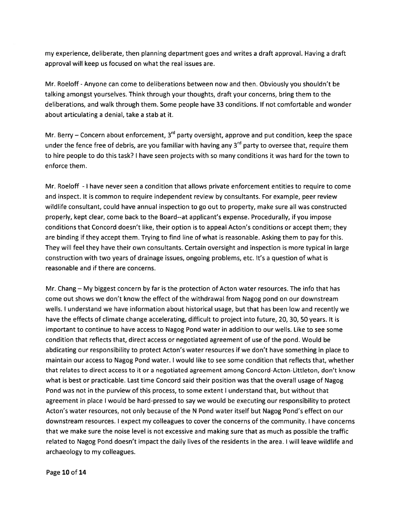my experience, deliberate, then planning department goes and writes <sup>a</sup> draft approval. Having <sup>a</sup> draft approval will keep us focused on what the real issues are.

Mr. Roeloff -Anyone can come to deliberations between now and then. Obviously you shouldn't be talking amongs<sup>t</sup> yourselves. Think through your thoughts, draft your concerns, bring them to the deliberations, and walk through them. Some people have 33 conditions. If not comfortable and wonder about articulating <sup>a</sup> denial, take <sup>a</sup> stab at it.

Mr. Berry – Concern about enforcement,  $3^{rd}$  party oversight, approve and put condition, keep the space under the fence free of debris, are you familiar with having any  $3^{rd}$  party to oversee that, require them to hire people to do this task? I have seen projects with so many conditions it was hard for the town to enforce them.

Mr. Roeloff - I have never seen <sup>a</sup> condition that allows private enforcement entities to requite to come and inspect. It is common to require independent review by consultants. For example, peer review wildlife consultant, could have annual inspection to go out to property, make sure all was constructed properly, kept clear, come back to the Board--at applicant's expense. Procedurally, if you impose conditions that Concord doesn't like, their option is to appeal Acton's conditions or accep<sup>t</sup> them; they are binding if they accep<sup>t</sup> them. Trying to find line of what is reasonable. Asking them to pay for this. They will feel they have their own consultants. Certain oversight and inspection is more typical in large construction with two years of drainage issues, ongoing problems, etc. It's <sup>a</sup> question of what is reasonable and if there are concerns.

Mr. Chang — My biggest concern by far is the protection of Acton water resources. The info that has come out shows we don't know the effect of the withdrawal from Nagog pond on out downstream wells. I understand we have information about historical usage, but that has been low and recently we have the effects of climate change accelerating, difficult to project into future, 20, 30, 50 years. It is important to continue to have access to Nagog Pond water in addition to our wells. Like to see some condition that reflects that, direct access or negotiated agreemen<sup>t</sup> of use of the pond. Would be abdicating our responsibility to protect Acton's water resources if we don't have something in place to maintain our access to Nagog Pond water. I would like to see some condition that reflects that, whether that relates to direct access to it or <sup>a</sup> negotiated agreemen<sup>t</sup> among Concord-Acton-Littleton, don't know what is best or practicable. Last time Concord said their position was that the overall usage of Nagog Pond was not in the purview of this process, to some extent I understand that, but without that agreemen<sup>t</sup> in place I would be hard-pressed to say we would be executing our responsibility to protect Acton's water resources, not only because of the N Pond water itself but Nagog Pond's effect on our downstream resources. I expec<sup>t</sup> my colleagues to cover the concerns of the community. I have concerns that we make sure the noise level is not excessive and making sure that as much as possible the traffic related to Nagog Pond doesn't impact the daily lives of the residents in the area. I will leave wildlife and archaeology to my colleagues.

Page 10 of 14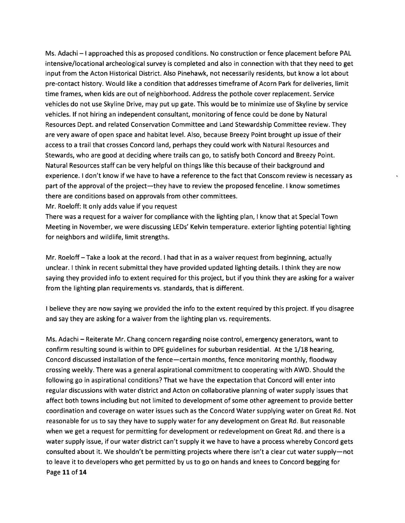Ms. Adachi — I approached this as proposed conditions. No construction or fence placement before PAL intensive/locational archeological survey is completed and also in connection with that they need to ge<sup>t</sup> input from the Acton Historical District. Also Pinehawk, not necessarily residents, but know <sup>a</sup> lot about pre-contact history. Would like <sup>a</sup> condition that addresses timeframe of Acorn Park for deliveries, limit time frames, when kids are out of neighborhood. Address the pothole cover replacement. Service vehicles do not use Skyline Drive, may pu<sup>t</sup> up gate. This would be to minimize use of Skyline by service vehicles. If not hiring an independent consultant, monitoring of fence could be done by Natural Resources Dept. and related Conservation Committee and Land Stewardship Committee review. They are very aware of open space and habitat level. Also, because Breezy Point brought up issue of their access to <sup>a</sup> trail that crosses Concord land, perhaps they could work with Natural Resources and Stewards, who are good at deciding where trails can go, to satisfy both Concord and Breezy Point. Natural Resources staff can be very helpful on things like this because of their background and experience. I don't know if we have to have <sup>a</sup> reference to the fact that Conscom review is necessary as par<sup>t</sup> of the approval of the project—they have to review the proposed fenceline. I know sometimes there are conditions based on approvals from other committees.

Mr. Roeloff: It only adds value if you reques<sup>t</sup>

There was <sup>a</sup> reques<sup>t</sup> for <sup>a</sup> waiver for compliance with the lighting plan, I know that at Special Town Meeting in November, we were discussing LED5' Kelvin temperature. exterior lighting potential lighting for neighbors and wildlife, limit strengths.

Mr. Roeloff—Take <sup>a</sup> look at the record. I had that in as <sup>a</sup> waiver reques<sup>t</sup> from beginning, actually unclear. I think in recent submittal they have provided updated lighting details. I think they are now saying they provided info to extent required for this project, but if you think they are asking for <sup>a</sup> waiver from the lighting plan requirements vs. standards, that is different.

I believe they are now saying we provided the info to the extent required by this project. If you disagree and say they are asking for <sup>a</sup> waiver from the lighting plan vs. requirements.

Ms. Adachi — Reiterate Mr. Chang concern regarding noise control, emergency generators, want to confirm resulting sound is within to DPE guidelines for suburban residential. At the 1/18 hearing, Concord discussed installation of the fence—certain months, fence monitoring monthly, floodway crossing weekly. There was <sup>a</sup> general aspirational commitment to cooperating with AWD. Should the following go in aspirational conditions? That we have the expectation that Concord will enter into regular discussions with water district and Acton on collaborative planning of water supply issues that affect both towns including but not limited to development of some other agreemen<sup>t</sup> to provide better coordination and coverage on water issues such as the Concord Water supplying water on Great Rd. Not reasonable for us to say they have to supply water for any development on Great Rd. But reasonable when we ge<sup>t</sup> <sup>a</sup> reques<sup>t</sup> for permitting for development or redevelopment on Great Rd. and there is <sup>a</sup> water supply issue, if our water district can't supply it we have to have <sup>a</sup> process whereby Concord gets consulted about it. We shouldn't be permitting projects where there isn't <sup>a</sup> clear cut water supply—not to leave it to developers who ge<sup>t</sup> permitted by us to go on hands and knees to Concord begging for Page 11 of 14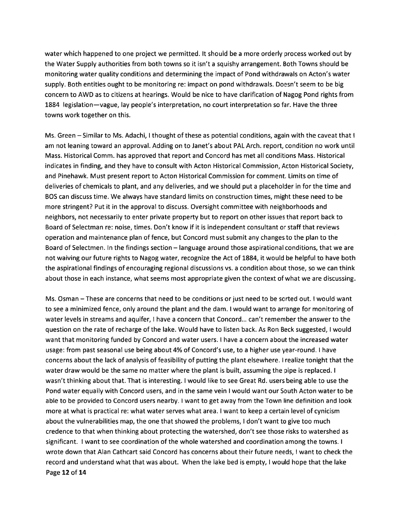water which happened to one project we permitted. It should be <sup>a</sup> more orderly process worked out by the Water Supply authorities from both towns so it isn't <sup>a</sup> squishy arrangement. Both Towns should be monitoring water quality conditions and determining the impact of Pond withdrawals on Acton's water supply. Both entities ought to be monitoring re: impact on pond withdrawals. Doesn't seem to be big concern to AWD as to citizens at hearings. Would be nice to have clarification of Nagog Pond tights from 1884 legislation—vague, lay people's interpretation, no court interpretation so far. Have the three towns work together on this.

Ms. Green — Similar to Ms. Adachi, I thought of these as potential conditions, again with the caveat that I am not leaning toward an approval. Adding on to Janet's about PAL Arch. report, condition no work until Mass. Historical Comm. has approved that repor<sup>t</sup> and Concord has met all conditions Mass. Historical indicates in finding, and they have to consult with Acton Historical Commission, Acton Historical Society, and Pinehawk. Must presen<sup>t</sup> repor<sup>t</sup> to Acton Historical Commission for comment. Limits on time of deliveries of chemicals to plant, and any deliveries, and we should pu<sup>t</sup> <sup>a</sup> placeholder in for the time and BOS can discuss time. We always have standard limits on construction times, might these need to be more stringent? Put it in the approval to discuss. Oversight committee with neighborhoods and neighbors, not necessarily to enter private property but to repor<sup>t</sup> on other issues that repor<sup>t</sup> back to Board of Selectman re: noise, times. Don't know if it is independent consultant or staff that reviews operation and maintenance plan offence, but Concord must submit any changes to the plan to the Board of Selectmen. In the findings section — language around those aspirational conditions, that we are not waiving our future rights to Nagog water, recognize the Act of 1884, it would be helpful to have both the aspirational findings of encouraging regional discussions vs. <sup>a</sup> condition about those, so we can think about those in each instance, what seems most appropriate given the context of what we are discussing.

Ms. Osman —These are concerns that need to be conditions or just need to be sorted out. I would want to see <sup>a</sup> minimized fence, only around the plant and the dam. I would want to arrange for monitoring of water levels in streams and aquifer, I have <sup>a</sup> concern that Concord... can't remember the answer to the question on the rate of recharge of the lake. Would have to listen back. As Ron Beck suggested, I would want that monitoring funded by Concord and water users. I have <sup>a</sup> concern about the increased water usage: from pas<sup>t</sup> seasonal use being about 4% of Concord's use, to <sup>a</sup> higher use year-round. I have concerns about the lack of analysis of feasibility of putting the plant elsewhere. I realize tonight that the water draw would be the same no matter where the plant is built, assuming the pipe is replaced. I wasn't thinking about that. That is interesting. I would like to see Great Rd. users being able to use the Pond water equally with Concord users, and in the same vein I would want our South Acton water to be able to be provided to Concord users nearby. I want to ge<sup>t</sup> away from the Town line definition and look more at what is practical re: what water serves what area. I want to keep <sup>a</sup> certain level of cynicism about the vulnerabilities map, the one that showed the problems, I don't want to give too much credence to that when thinking about protecting the watershed, don't see those risks to watershed as significant. I want to see coordination of the whole watershed and coordination among the towns. I wrote down that Alan Cathcart said Concord has concerns about their future needs, I want to check the record and understand what that was about. When the lake bed is empty, I would hope that the lake Page 12 of 14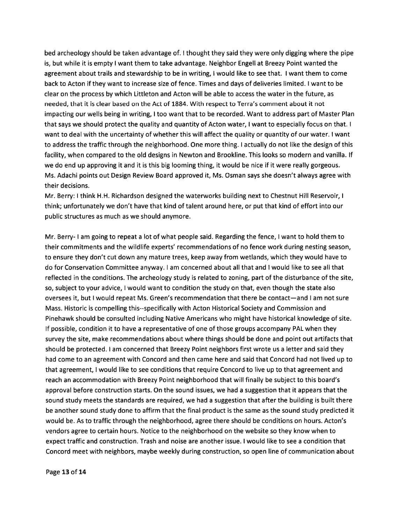bed archeology should be taken advantage of. I thought they said they were only digging where the pipe is, but while it is empty I want them to take advantage. Neighbor Engell at Breezy Point wanted the agreemen<sup>t</sup> about trails and stewardship to be in writing, I would like to see that. I want them to come back to Acton if they want to increase size of fence. Times and days of deliveries limited. I want to be clear on the process by which Littleton and Acton will be able to access the water in the future, as needed, that it is cleat based on the Act of 1884. With respec<sup>t</sup> to Terra's comment about it not impacting our wells being in writing, I too want that to be recorded. Want to address par<sup>t</sup> of Master Plan that says we should protect the quality and quantity of Acton water, I want to especially focus on that. I want to deal with the uncertainty of whether this will affect the quality or quantity of our water. I want to address the traffic through the neighborhood. One more thing. I actually do not like the design of this facility, when compared to the old designs in Newton and Brookline. This looks so modern and vanilla. If we do end up approving it and it is this big looming thing, it would be nice if it were really gorgeous. Ms. Adachi points out Design Review Board approved it, Ms. Osman says she doesn't always agree with their decisions.

Mr. Berry: I think H.H. Richardson designed the waterworks building next to Chestnut Hill Reservoir, I think; unfortunately we don't have that kind of talent around here, or pu<sup>t</sup> that kind of effort into our public structures as much as we should anymore.

Mr. Berry- I am going to repea<sup>t</sup> <sup>a</sup> lot of what people said. Regarding the fence, I want to hold them to their commitments and the wildlife experts' recommendations of no fence work during nesting season, to ensure they don't cut down any mature trees, keep away from wetlands, which they would have to do for Conservation Committee anyway. I am concerned about all that and I would like to see all that reflected in the conditions. The archeology study is related to zoning, par<sup>t</sup> of the disturbance of the site, so, subject to your advice, I would want to condition the study on that, even though the state also oversees it, but I would repea<sup>t</sup> Ms. Green's recommendation that there be contact—and I am not sure Mass. Historic is compelling this--specifically with Acton Historical Society and Commission and Pinehawk should be consulted including Native Americans who might have historical knowledge of site. If possible, condition it to have <sup>a</sup> representative of one of those groups accompany PAL when they survey the site, make recommendations about where things should be done and point out artifacts that should be protected. I am concerned that Breezy Point neighbors first wrote us <sup>a</sup> letter and said they had come to an agreemen<sup>t</sup> with Concord and then came here and said that Concord had not lived up to that agreement, I would like to see conditions that require Concord to live up to that agreemen<sup>t</sup> and reach an accommodation with Breezy Point neighborhood that will finally be subject to this board's approval before construction starts. On the sound issues, we had <sup>a</sup> suggestion that it appears that the sound study meets the standards are required, we had <sup>a</sup> suggestion that after the building is built there be another sound study done to affirm that the final product is the same as the sound study predicted it would be. As to traffic through the neighborhood, agree there should be conditions on hours. Acton's vendors agree to certain hours. Notice to the neighborhood on the website so they know when to expec<sup>t</sup> traffic and construction. Trash and noise are another issue. I would like to see <sup>a</sup> condition that Concord meet with neighbors, maybe weekly during construction, so open line of communication about